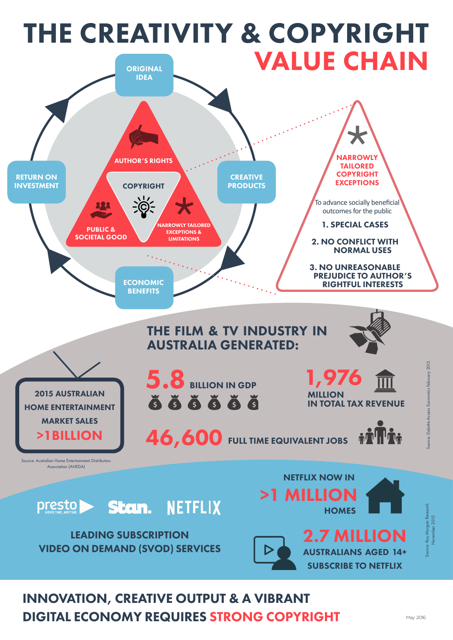

#### INNOVATION, CREATIVE OUTPUT & A VIBRANT DIGITAL ECONOMY REQUIRES STRONG COPYRIGHT